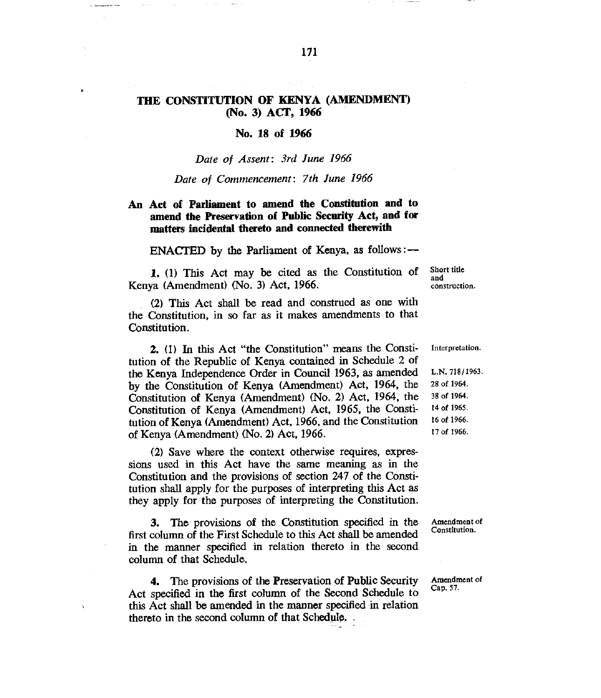# **THE CONSTITUTION OF KENYA (AMENDMENT) (No. 3) ACT, 1966**

## **No. 18 of 1966**

## *Date of Assent: 3rd June 1966*

## *Date of Commencement: 7th June 1966*

# **An Act of Parliament to amend the Constitution and to amend the Preservation of Public Security Act, and for matters incidental thereto and connected therewith**

**ENACTED** by the Parliament of Kenya, as follows :--

1. (1) This Act may be cited as the Constitution of Kenya (Amendment) (No. 3) Act, 1966.

Short title and construction.

(2) This Act shall be read and construed as one with the Constitution, in so far as it makes amendments to that Constitution.

2. (1) In this Act "the Constitution" means the Constitution of the Republic of Kenya contained in Schedule 2 of the Kenya Independence Order in Council 1963, as amended by the Constitution of Kenya (Amendment) Act, 1964, the Constitution of Kenya (Amendment) (No. 2) Act, 1964, the Constitution of Kenya (Amendment) Act, 1965, the Constitution of Kenya (Amendment) Act, 1966, and the Constitution of Kenya (Amendment) (No. 2) Act, 1966.

(2) Save where the context otherwise requires, expressions used in this Act have the same meaning as in the Constitution and the provisions of section 247 of the Constitution shall apply for the purposes of interpreting this Act as they apply for the purposes of interpreting the Constitution.

3. The provisions of the Constitution specified in the first column of the First Schedule to this Act shall be amended in the manner specified in relation thereto in the second column of that Schedule.

4. The provisions of the Preservation of Public Security Act specified in the first column of the Second Schedule to this Act shall be amended in the manner specified in relation thereto in the second column of that Schedule.

À

Interpretation.

L.N. 718/1963. 28 of 1964. 38 of 1964. 14 of 1965. 16 of 1966. 17 of 1966.

Amendment of Constitution.

Amendment of Cap. 57.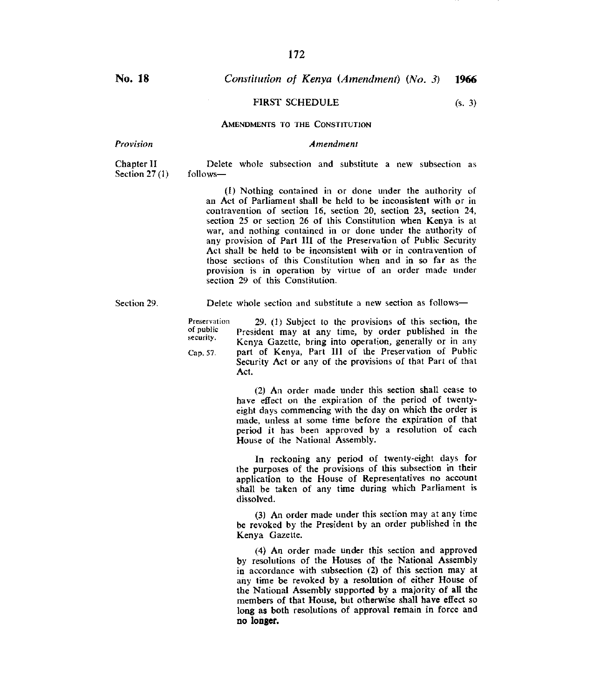# **No. 18** *Constitution of Kenya (Amendment) (No. 3)* **1966**

## FIRST SCHEDULE (s. 3)

### AMENDMENTS TO THE CONSTITUTION

*Provision Amendment* 

Chapter II Delete whole subsection and substitute a new subsection as Section  $27(1)$  follows—

> (1) Nothing contained in or done under the authority of an Act of Parliament shall be held to be inconsistent with or in contravention of section 16, section 20, section 23, section 24, section 25 or section 26 of this Constitution when Kenya is at war, and nothing contained in or done under the authority of any provision of Part III of the Preservation of Public Security Act shall be held to be inconsistent with or in contravention of those sections of this Constitution when and in so far as the provision is in operation by virtue of an order made under section 29 of this Constitution.

Section 29. Delete whole section and substitute a new section as follows—

Preservation of public security. Cap. 57. 29. (1) Subject to the provisions of this section, the President may at any time, by order published in the Kenya Gazette, bring into operation, generally or in any part of Kenya, Part III of the Preservation of Public Security Act or any of the provisions of that Part of that Act.

> (2) An order made under this section shall cease to have effect on the expiration of the period of twentyeight days commencing with the day on which the order is made, unless at some time before the expiration of that period it has been approved by a resolution of each House of the National Assembly.

> In reckoning any period of twenty-eight days for the purposes of the provisions of this subsection in their application to the House of Representatives no account shall be taken of any time during which Parliament is dissolved.

> (3) An order made under this section may at any time be revoked by the President by an order published in the Kenya Gazette.

> (4) An order made under this section and approved by resolutions of the Houses of the National Assembly in accordance with subsection (2) of this section may at any time be revoked by a resolution of either House of the National Assembly supported by a majority of all the members of that House, but otherwise shall have effect so long as both resolutions of approval remain in force and **no longer.**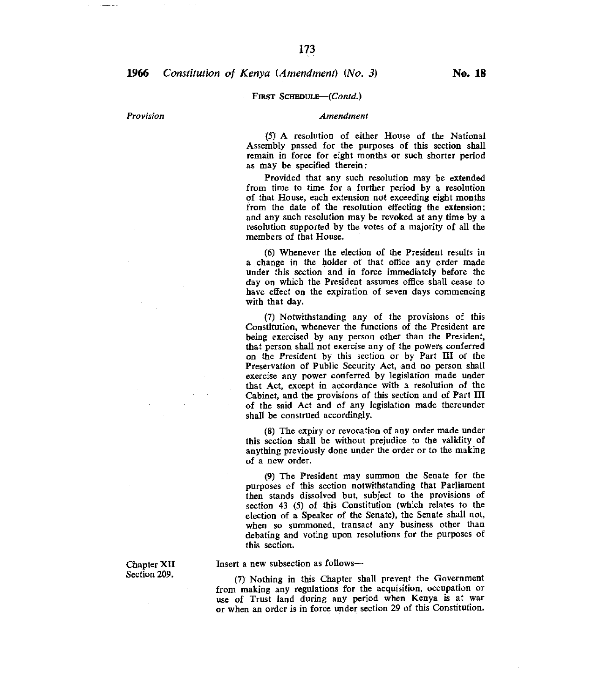#### FIRST SCHEDULE-(Contd.)

#### *Provision Amendment*

(5) A resolution of either House of the National Assembly passed for the purposes of this section shall remain in force for eight months or such shorter period as may be specified therein:

Provided that any such resolution may be extended from time to time for a further period by a resolution of that House, each extension not exceeding eight months from the date of the resolution effecting the extension; and any such resolution may be revoked at any time by a resolution supported by the votes of a majority of all the members of that House.

(6) Whenever the election of the President results in a change in the holder of that office any order made under this section and in force immediately before the day on which the President assumes office shall cease to have effect on the expiration of seven days commencing with that day.

(7) Notwithstanding any of the provisions of this Constitution, whenever the functions of the President are being exercised by any person other than the President, that person shall not exercise any of the powers conferred on the President by this section or by Part III of the Preservation of Public Security Act, and no person shall exercise any power conferred by legislation made under that Act, except in accordance with a resolution of the Cabinet, and the provisions of this section and of Part III of the said Act and of any legislation made thereunder shall be construed accordingly.

(8) The expiry or revocation of any order made under this section shall be without prejudice to the validity of anything previously done under the order or to the making of a new order.

(9) The President may summon the Senate for the purposes of this section notwithstanding that Parliament then stands dissolved but, subject to the provisions of section 43 (5) of this Constitution (which relates to the election of a Speaker of the Senate), the Senate shall not, when so summoned, transact any business other than debating and voting upon resolutions for the purposes of this section.

Insert a new subsection as follows—

(7) Nothing in this Chapter shall prevent the Government from making any regulations for the acquisition, occupation or use of Trust land during any period when Kenya is at war or when an order is in force under section 29 of this Constitution.

Chapter XII Section 209.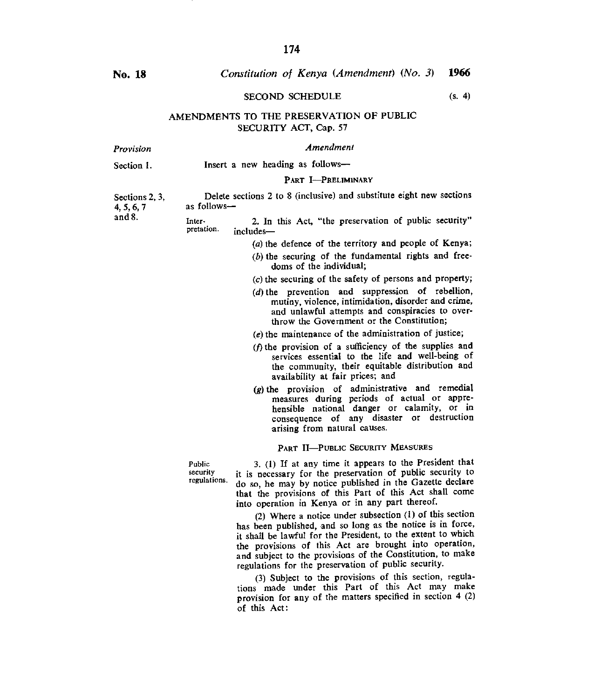# **No. 18** *Constitution of Kenya (Amendment) (No. 3)* **1966**

## SECOND SCHEDULE (s. 4)

AMENDMENTS TO THE PRESERVATION OF PUBLIC SECURITY ACT, Cap. *57* 

| Provision                                              | Amendment                                                                           |                                                                                                                                                                                                                                                                                                                                                                       |
|--------------------------------------------------------|-------------------------------------------------------------------------------------|-----------------------------------------------------------------------------------------------------------------------------------------------------------------------------------------------------------------------------------------------------------------------------------------------------------------------------------------------------------------------|
| Section 1.<br>Sections 2, 3,<br>4, 5, 6, 7<br>and $8.$ | Insert a new heading as follows-                                                    |                                                                                                                                                                                                                                                                                                                                                                       |
|                                                        |                                                                                     | PART I-PRELIMINARY                                                                                                                                                                                                                                                                                                                                                    |
|                                                        | Delete sections 2 to 8 (inclusive) and substitute eight new sections<br>as follows- |                                                                                                                                                                                                                                                                                                                                                                       |
|                                                        | Inter-<br>pretation.                                                                | 2. In this Act, "the preservation of public security"<br>includes-                                                                                                                                                                                                                                                                                                    |
|                                                        |                                                                                     | (a) the defence of the territory and people of Kenya;                                                                                                                                                                                                                                                                                                                 |
|                                                        |                                                                                     | $(b)$ the securing of the fundamental rights and free-<br>doms of the individual;                                                                                                                                                                                                                                                                                     |
|                                                        |                                                                                     | (c) the securing of the safety of persons and property;                                                                                                                                                                                                                                                                                                               |
|                                                        |                                                                                     | $(d)$ the prevention and suppression of rebellion,<br>mutiny, violence, intimidation, disorder and crime,<br>and unlawful attempts and conspiracies to over-<br>throw the Government or the Constitution:                                                                                                                                                             |
|                                                        |                                                                                     | (e) the maintenance of the administration of justice;                                                                                                                                                                                                                                                                                                                 |
|                                                        |                                                                                     | (f) the provision of a sufficiency of the supplies and<br>services essential to the life and well-being of<br>the community, their equitable distribution and<br>availability at fair prices; and                                                                                                                                                                     |
|                                                        |                                                                                     | $(g)$ the provision of administrative and remedial<br>measures during periods of actual or appre-<br>hensible national danger or calamity, or in<br>consequence of any disaster or destruction<br>arising from natural causes.                                                                                                                                        |
|                                                        |                                                                                     | PART II-PUBLIC SECURITY MEASURES                                                                                                                                                                                                                                                                                                                                      |
|                                                        | Public<br>security<br>regulations.                                                  | 3. (1) If at any time it appears to the President that<br>it is necessary for the preservation of public security to<br>do so, he may by notice published in the Gazette declare<br>that the provisions of this Part of this Act shall come<br>into operation in Kenya or in any part thereof.                                                                        |
|                                                        |                                                                                     | (2) Where a notice under subsection (1) of this section<br>has been published, and so long as the notice is in force,<br>it shall be lawful for the President, to the extent to which<br>the provisions of this Act are brought into operation,<br>and subject to the provisions of the Constitution, to make<br>regulations for the preservation of public security. |

(3) Subject to the provisions of this section, regulations made under this Part of this Act may make provision for any of the matters specified in section 4 (2) of this Act :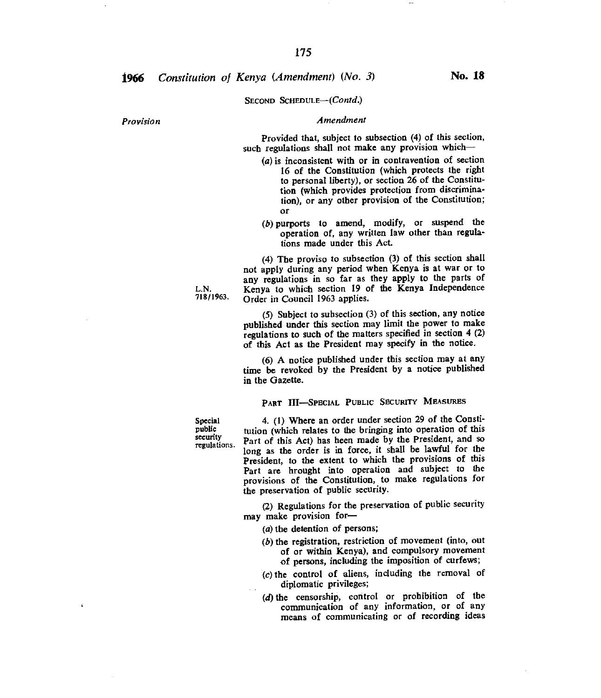# **1966** *Constitution of Kenya (Amendment)* (No. 3) **No. 18**

#### SECOND SCHEDULE-(Contd.)

## *Provision Amendment*

Provided that, subject to subsection (4) of this section, such regulations shall not make any provision which-

- $(a)$  is inconsistent with or in contravention of section 16 of the Constitution (which protects the right to personal liberty), or section 26 of the Constitution (which provides protection from discrimination), or any other provision of the Constitution; or
- $(b)$  purports to amend, modify, or suspend the operation of, any written law other than regulations made under this Act.

(4) The proviso to subsection (3) of this section shall not apply during any period when Kenya is at war or to any regulations in so far as they apply to the parts of L.N. Kenya to which section 19 of the Kenya Independence Order in Council 1963 applies.

(5) Subject to subsection (3) of this section, any notice published under this section may limit the power to make regulations to such of the matters specified in section 4 (2) of this Act as the President may specify in the notice.

(6) A notice published under this section may at any time be revoked by the President by a notice published in the Gazette.

PART III—SPECIAL PUBLIC SECURITY MEASURES

Special public security regulations.

*4.* (1) Where an order under section 29 of the Constitution (which relates to the bringing into operation of this Part of this Act) has been made by the President, and so long as the order is in force, it shall be lawful for the President, to the extent to which the provisions of this Part are brought into operation and subject to the provisions of the Constitution, to make regulations for the preservation of public security.

(2) Regulations for the preservation of public security may make provision for—

- $(a)$  the detention of persons;
- $(b)$  the registration, restriction of movement (into, out of or within Kenya), and compulsory movement of persons, including the imposition of curfews;
- $(c)$  the control of aliens, including the removal of diplomatic privileges;
- (d) the censorship, control or prohibition of the communication of any information, or of any means of communicating or of recording ideas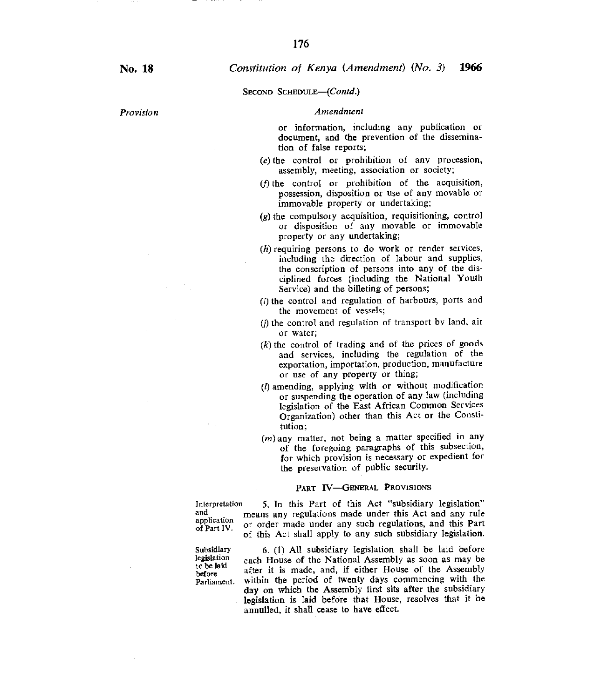SECOND SCHEDULE—(Contd.)

#### *Provision Amendment*

or information, including any publication or document, and the prevention of the dissemination of false reports;

- $(e)$  the control or prohibition of any procession, assembly, meeting, association or society;
- $(f)$  the control or prohibition of the acquisition, possession, disposition or use of any movable or immovable property or undertaking;
- $(g)$  the compulsory acquisition, requisitioning, control or disposition of any movable or immovable property or any undertaking;
- $(h)$  requiring persons to do work or render services, including the direction of labour and supplies, the conscription of persons into any of the disciplined forces (including the National Youth Service) and the billeting of persons;
- $(i)$  the control and regulation of harbours, ports and the movement of vessels;
- $(i)$  the control and regulation of transport by land, air or water;
- $(k)$  the control of trading and of the prices of goods and services, including the regulation of the exportation, importation, production, manufacture or use of any property or thing;
- *(1)* amending, applying with or without modification or suspending the operation of any law (including legislation of the East African Common Services Organization) other than this Act or the Constitution;
- (*m*) any matter, not being a matter specified in any of the foregoing paragraphs of this subsection, for which provision is necessary or expedient for the preservation of public security.

#### PART W—GENERAL PROVISIONS

and application of Part IV.

*Interpretation* 5. In this Part of this Act "subsidiary legislation" means any regulations made under this Act and any rule or order made under any such regulations, and this Part of this Act shall apply to any such subsidiary legislation.

Subsidiary legislation to be laid before Parliament.

6. (1) All subsidiary legislation shall be laid before each House of the National Assembly as soon as may be after it is made, and, if either House of the Assembly within the period of twenty days commencing with the day on which the Assembly first sits after the subsidiary legislation is laid before that House, resolves that it be annulled, it shall cease to have effect.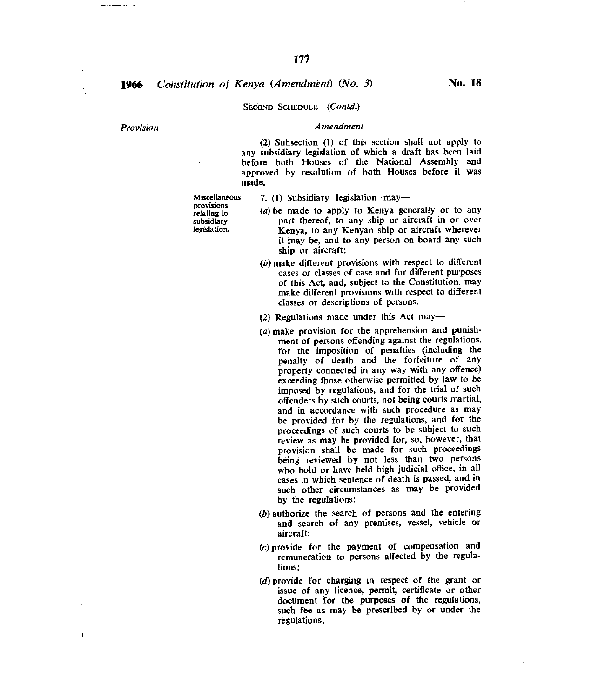# **1966** *Constitution of Kenya (Amendment)* (No. 3) **No. 18**

#### SECOND SCHEDULE-(Contd.)

ŧ

#### *Provision Amendment*

(2) Subsection (1) of this section shall not apply to any subsidiary legislation of which a draft has been laid before both Houses of the National Assembly and approved by resolution of both Houses before it was made.

*7. (I)* Subsidiary legislation may—

- $(a)$  be made to apply to Kenya generally or to any part thereof, to any ship or aircraft in or over Kenya, to any Kenyan ship or aircraft wherever it may be, and to any person on board any such ship or aircraft;
- $(b)$  make different provisions with respect to different cases or classes of case and for different purposes of this Act, and, subject to the Constitution, may make different provisions with respect to different classes or descriptions of persons.
- (2) Regulations made under this Act may—
- $(a)$  make provision for the apprehension and punishment of persons offending against the regulations, for the imposition of penalties (including the penalty of death and the forfeiture of any property connected in any way with any offence) exceeding those otherwise permitted by law to be imposed by regulations, and for the trial of such offenders by such courts, not being courts martial, and in accordance with such procedure as may be provided for by the regulations, and for the proceedings of such courts to be subject to such review as may be provided for, so, however, that provision shall be made for such proceedings being reviewed by not less than two persons who hold or have held high judicial office, in all cases in which sentence of death is passed, and in such other circumstances as may be provided by the regulations;
- $(b)$  authorize the search of persons and the entering and search of any premises, vessel, vehicle or aircraft;
- (c)provide for the payment of compensation and remuneration to persons affected by the regulations;
- (d) provide for charging in respect of the grant or issue of any licence, permit, certificate or other document for the purposes of the regulations, such fee as may be prescribed by or under the regulations;

Miscellaneous provisions relating to

subsidiary legislation.